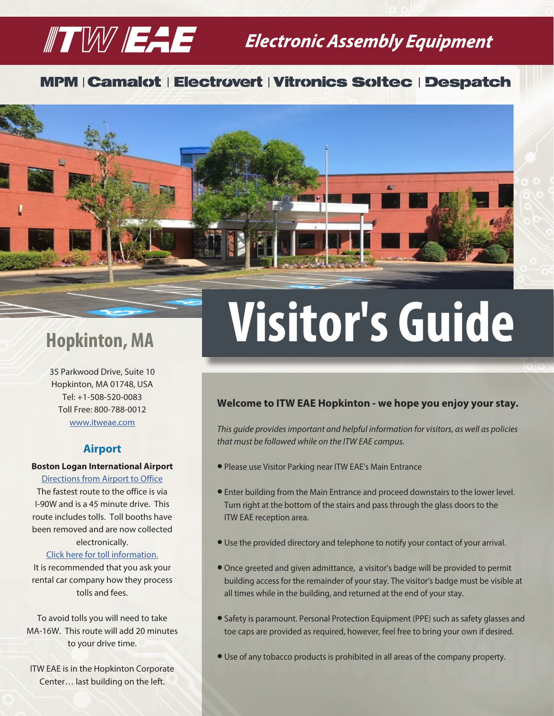## $\mathbb T$   $\mathbb W$   $\mathbb H$   $\mathbb H$  Electronic Assembly Equipment

### **MPM | Camalot | Electrovert | Vitronics Soltec | Despatch**



35 Parkwood Drive, Suite 10 Hopkinton, MA 01748, USA Tel: +1-508-520-0083 Toll Free: 800-788-0012 [www.itweae.com](https://www.itweae.com/)

#### **Airport**

#### **Boston Logan International Airport**

#### [Directions from Airport to Office](https://www.google.com/maps/dir/Boston+Logan+International+Airport+(BOS),+1+Harborside+Dr,+Boston,+MA+02128/35+Parkwood+Dr,+Hopkinton,+MA+01748/@42.2856702,-71.5711393,10z/data=!3m1!4b1!4m14!4m13!1m5!1m1!1s0x89e37014d5da4937:0xc9394c31f2d5144!2m2!1d-71.0095602!2d42.3656132!1m5!1m1!1s0x89e47496b122f9cf:0xd3c2d9d819c01b52!2m2!1d-71.5455899!2d42.2199281!3e0)

The fastest route to the office is via I-90W and is a 45 minute drive. This route includes tolls. Toll booths have been removed and are now collected electronically.

#### [Click here for toll information.](https://www.ezdrivema.com/TollCalculator)

It is recommended that you ask your rental car company how they process tolls and fees.

To avoid tolls you will need to take MA-16W. This route will add 20 minutes to your drive time.

ITW EAE is in the Hopkinton Corporate Center… last building on the left.

# **Hopkinton, MA Visitor's Guide**

#### **Welcome to ITW EAE Hopkinton - we hope you enjoy your stay.**

*This guide provides important and helpful information for visitors, as well as policies that must be followed while on the ITW EAE campus.*

- **Please use Visitor Parking near ITW EAE's Main Entrance**
- **•** Enter building from the Main Entrance and proceed downstairs to the lower level. Turn right at the bottom of the stairs and pass through the glass doors to the ITW EAE reception area.
- Use the provided directory and telephone to notify your contact of your arrival.
- l Once greeted and given admittance, a visitor's badge will be provided to permit building access for the remainder of your stay. The visitor's badge must be visible at all times while in the building, and returned at the end of your stay.
- Safety is paramount. Personal Protection Equipment (PPE) such as safety glasses and toe caps are provided as required, however, feel free to bring your own if desired.
- **.** Use of any tobacco products is prohibited in all areas of the company property.